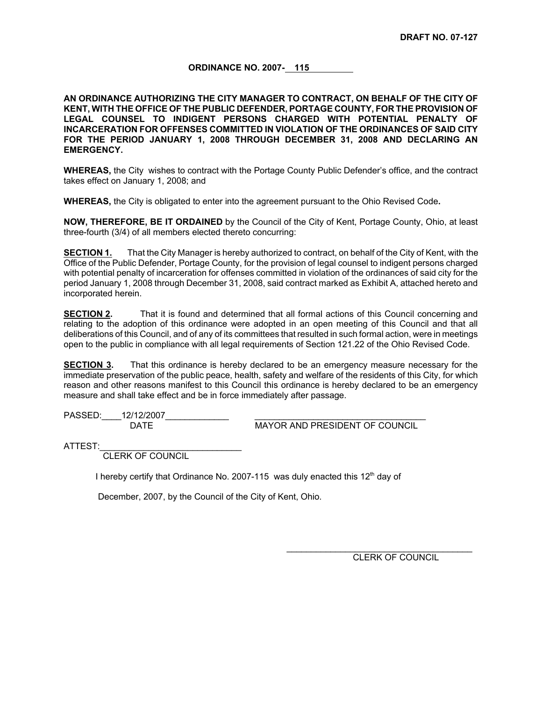#### **ORDINANCE NO. 2007- 115**

**AN ORDINANCE AUTHORIZING THE CITY MANAGER TO CONTRACT, ON BEHALF OF THE CITY OF KENT, WITH THE OFFICE OF THE PUBLIC DEFENDER, PORTAGE COUNTY, FOR THE PROVISION OF LEGAL COUNSEL TO INDIGENT PERSONS CHARGED WITH POTENTIAL PENALTY OF INCARCERATION FOR OFFENSES COMMITTED IN VIOLATION OF THE ORDINANCES OF SAID CITY FOR THE PERIOD JANUARY 1, 2008 THROUGH DECEMBER 31, 2008 AND DECLARING AN EMERGENCY.** 

**WHEREAS,** the City wishes to contract with the Portage County Public Defender's office, and the contract takes effect on January 1, 2008; and

**WHEREAS,** the City is obligated to enter into the agreement pursuant to the Ohio Revised Code**.**

**NOW, THEREFORE, BE IT ORDAINED** by the Council of the City of Kent, Portage County, Ohio, at least three-fourth (3/4) of all members elected thereto concurring:

**SECTION 1.** That the City Manager is hereby authorized to contract, on behalf of the City of Kent, with the Office of the Public Defender, Portage County, for the provision of legal counsel to indigent persons charged with potential penalty of incarceration for offenses committed in violation of the ordinances of said city for the period January 1, 2008 through December 31, 2008, said contract marked as Exhibit A, attached hereto and incorporated herein.

**SECTION 2.** That it is found and determined that all formal actions of this Council concerning and relating to the adoption of this ordinance were adopted in an open meeting of this Council and that all deliberations of this Council, and of any of its committees that resulted in such formal action, were in meetings open to the public in compliance with all legal requirements of Section 121.22 of the Ohio Revised Code.

**SECTION 3.** That this ordinance is hereby declared to be an emergency measure necessary for the immediate preservation of the public peace, health, safety and welfare of the residents of this City, for which reason and other reasons manifest to this Council this ordinance is hereby declared to be an emergency measure and shall take effect and be in force immediately after passage.

PASSED:\_\_\_\_\_12/12/2007\_\_\_

DATE MAYOR AND PRESIDENT OF COUNCIL

ATTEST:

CLERK OF COUNCIL

I hereby certify that Ordinance No. 2007-115 was duly enacted this 12<sup>th</sup> day of

December, 2007, by the Council of the City of Kent, Ohio.

CLERK OF COUNCIL

 $\mathcal{L}_\text{max}$  , and the set of the set of the set of the set of the set of the set of the set of the set of the set of the set of the set of the set of the set of the set of the set of the set of the set of the set of the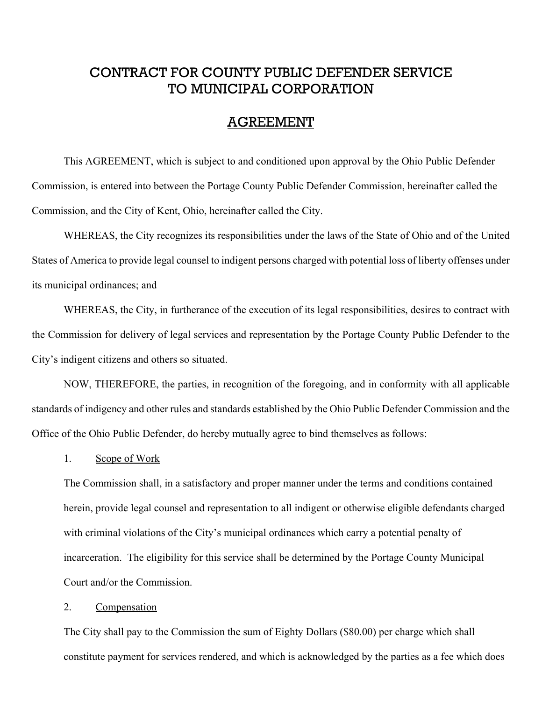# CONTRACT FOR COUNTY PUBLIC DEFENDER SERVICE TO MUNICIPAL CORPORATION

## AGREEMENT

This AGREEMENT, which is subject to and conditioned upon approval by the Ohio Public Defender Commission, is entered into between the Portage County Public Defender Commission, hereinafter called the Commission, and the City of Kent, Ohio, hereinafter called the City.

WHEREAS, the City recognizes its responsibilities under the laws of the State of Ohio and of the United States of America to provide legal counsel to indigent persons charged with potential loss of liberty offenses under its municipal ordinances; and

WHEREAS, the City, in furtherance of the execution of its legal responsibilities, desires to contract with the Commission for delivery of legal services and representation by the Portage County Public Defender to the City's indigent citizens and others so situated.

NOW, THEREFORE, the parties, in recognition of the foregoing, and in conformity with all applicable standards of indigency and other rules and standards established by the Ohio Public Defender Commission and the Office of the Ohio Public Defender, do hereby mutually agree to bind themselves as follows:

1. Scope of Work

The Commission shall, in a satisfactory and proper manner under the terms and conditions contained herein, provide legal counsel and representation to all indigent or otherwise eligible defendants charged with criminal violations of the City's municipal ordinances which carry a potential penalty of incarceration. The eligibility for this service shall be determined by the Portage County Municipal Court and/or the Commission.

#### 2. Compensation

The City shall pay to the Commission the sum of Eighty Dollars (\$80.00) per charge which shall constitute payment for services rendered, and which is acknowledged by the parties as a fee which does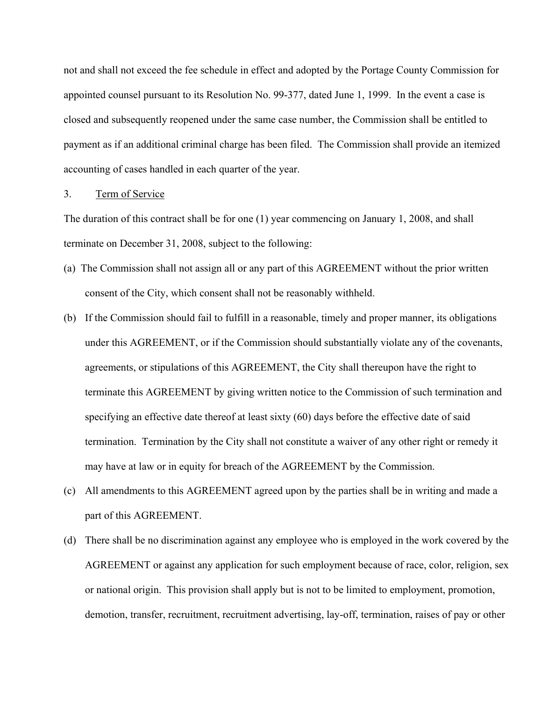not and shall not exceed the fee schedule in effect and adopted by the Portage County Commission for appointed counsel pursuant to its Resolution No. 99-377, dated June 1, 1999. In the event a case is closed and subsequently reopened under the same case number, the Commission shall be entitled to payment as if an additional criminal charge has been filed. The Commission shall provide an itemized accounting of cases handled in each quarter of the year.

#### 3. Term of Service

The duration of this contract shall be for one (1) year commencing on January 1, 2008, and shall terminate on December 31, 2008, subject to the following:

- (a) The Commission shall not assign all or any part of this AGREEMENT without the prior written consent of the City, which consent shall not be reasonably withheld.
- (b) If the Commission should fail to fulfill in a reasonable, timely and proper manner, its obligations under this AGREEMENT, or if the Commission should substantially violate any of the covenants, agreements, or stipulations of this AGREEMENT, the City shall thereupon have the right to terminate this AGREEMENT by giving written notice to the Commission of such termination and specifying an effective date thereof at least sixty (60) days before the effective date of said termination. Termination by the City shall not constitute a waiver of any other right or remedy it may have at law or in equity for breach of the AGREEMENT by the Commission.
- (c) All amendments to this AGREEMENT agreed upon by the parties shall be in writing and made a part of this AGREEMENT.
- (d) There shall be no discrimination against any employee who is employed in the work covered by the AGREEMENT or against any application for such employment because of race, color, religion, sex or national origin. This provision shall apply but is not to be limited to employment, promotion, demotion, transfer, recruitment, recruitment advertising, lay-off, termination, raises of pay or other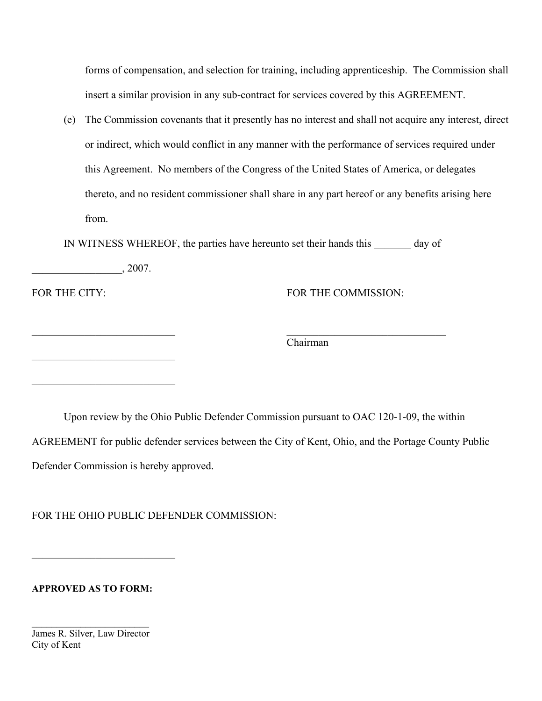forms of compensation, and selection for training, including apprenticeship. The Commission shall insert a similar provision in any sub-contract for services covered by this AGREEMENT.

(e) The Commission covenants that it presently has no interest and shall not acquire any interest, direct or indirect, which would conflict in any manner with the performance of services required under this Agreement. No members of the Congress of the United States of America, or delegates thereto, and no resident commissioner shall share in any part hereof or any benefits arising here from.

IN WITNESS WHEREOF, the parties have hereunto set their hands this day of

 $\mathcal{L}_\text{max}$  , and the contract of the contract of the contract of the contract of the contract of the contract of

|  |  |  | 2007<br>$\bullet$ |
|--|--|--|-------------------|
|  |  |  |                   |

 $\mathcal{L}_\text{max}$ 

 $\mathcal{L}_\text{max}$  , where  $\mathcal{L}_\text{max}$  , we have the set of  $\mathcal{L}_\text{max}$ 

FOR THE CITY: FOR THE COMMISSION:

Chairman

Upon review by the Ohio Public Defender Commission pursuant to OAC 120-1-09, the within AGREEMENT for public defender services between the City of Kent, Ohio, and the Portage County Public Defender Commission is hereby approved.

FOR THE OHIO PUBLIC DEFENDER COMMISSION:

**APPROVED AS TO FORM:**

 $\mathcal{L}_\text{max}$  , where  $\mathcal{L}_\text{max}$  , we have the set of  $\mathcal{L}_\text{max}$ 

 $\mathcal{L}_\text{max}$  , where  $\mathcal{L}_\text{max}$ James R. Silver, Law Director City of Kent